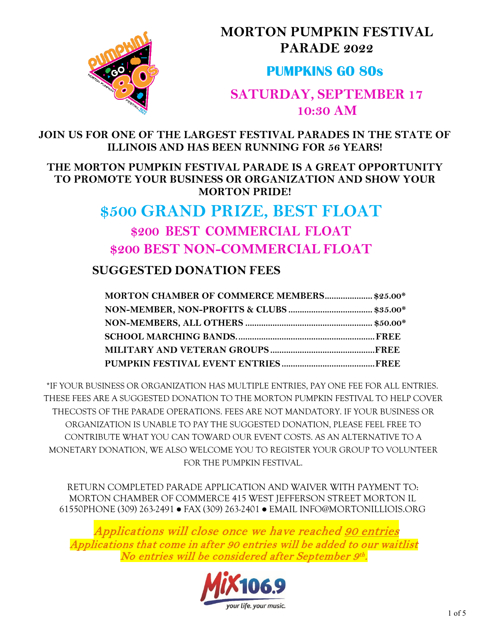

**MORTON PUMPKIN FESTIVAL PARADE 2022** 

## **PUMPKINS GO 80s**

## **SATURDAY, SEPTEMBER 17 10:30 AM**

**JOIN US FOR ONE OF THE LARGEST FESTIVAL PARADES IN THE STATE OF ILLINOIS AND HAS BEEN RUNNING FOR 56 YEARS!**

### **THE MORTON PUMPKIN FESTIVAL PARADE IS A GREAT OPPORTUNITY TO PROMOTE YOUR BUSINESS OR ORGANIZATION AND SHOW YOUR MORTON PRIDE!**

# **\$500 GRAND PRIZE, BEST FLOAT \$200 BEST COMMERCIAL FLOAT \$200 BEST NON-COMMERCIAL FLOAT**

### **SUGGESTED DONATION FEES**

| MORTON CHAMBER OF COMMERCE MEMBERS \$25.00* |  |
|---------------------------------------------|--|
|                                             |  |
|                                             |  |
|                                             |  |
|                                             |  |
|                                             |  |

\*IF YOUR BUSINESS OR ORGANIZATION HAS MULTIPLE ENTRIES, PAY ONE FEE FOR ALL ENTRIES. THESE FEES ARE A SUGGESTED DONATION TO THE MORTON PUMPKIN FESTIVAL TO HELP COVER THECOSTS OF THE PARADE OPERATIONS. FEES ARE NOT MANDATORY. IF YOUR BUSINESS OR ORGANIZATION IS UNABLE TO PAY THE SUGGESTED DONATION, PLEASE FEEL FREE TO CONTRIBUTE WHAT YOU CAN TOWARD OUR EVENT COSTS. AS AN ALTERNATIVE TO A MONETARY DONATION, WE ALSO WELCOME YOU TO REGISTER YOUR GROUP [TO VOLUNTEER](https://www.mortonpumpkinfestival.org/pumpkin-festival-parade/)  [FOR THE PUMPKIN FESTIVAL.](https://www.mortonpumpkinfestival.org/pumpkin-festival-parade/)

RETURN COMPLETED PARADE APPLICATION AND WAIVER WITH PAYMENT TO: MORTON CHAMBER OF COMMERCE 415 WEST JEFFERSON STREET MORTON IL 61550 PHONE (309) 263-2491 ● FAX (309) 263-2401 ● EMAIL [INFO@MORTONILLIOIS.ORG](mailto:info@mortonilliois.org)

Applications will close once we have reached 90 entries Applications that come in after 90 entries will be added to our waitlist No entries will be considered after September 9th.

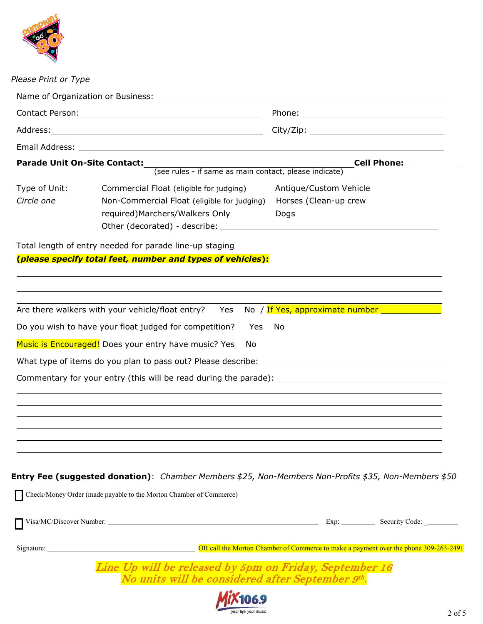

### *Please Print or Type*

|                             | Parade Unit On-Site Contact:<br>(see rules - if same as main contact, please indicate)                                    | <b>Cell Phone:</b>                                                                                   |
|-----------------------------|---------------------------------------------------------------------------------------------------------------------------|------------------------------------------------------------------------------------------------------|
|                             |                                                                                                                           |                                                                                                      |
| Type of Unit:<br>Circle one | Commercial Float (eligible for judging)<br>Non-Commercial Float (eligible for judging)<br>required) Marchers/Walkers Only | Antique/Custom Vehicle<br>Horses (Clean-up crew<br>Dogs                                              |
|                             | Total length of entry needed for parade line-up staging                                                                   |                                                                                                      |
|                             | (please specify total feet, number and types of vehicles):                                                                |                                                                                                      |
|                             |                                                                                                                           |                                                                                                      |
|                             |                                                                                                                           |                                                                                                      |
|                             | Are there walkers with your vehicle/float entry?<br>Yes                                                                   | No / If Yes, approximate number _______________                                                      |
|                             | Do you wish to have your float judged for competition?<br>Yes                                                             | No                                                                                                   |
|                             | Music is Encouraged! Does your entry have music? Yes<br>No                                                                |                                                                                                      |
|                             |                                                                                                                           |                                                                                                      |
|                             | Commentary for your entry (this will be read during the parade): ___________________________________                      |                                                                                                      |
|                             |                                                                                                                           |                                                                                                      |
|                             |                                                                                                                           |                                                                                                      |
|                             |                                                                                                                           |                                                                                                      |
|                             |                                                                                                                           |                                                                                                      |
|                             |                                                                                                                           |                                                                                                      |
|                             |                                                                                                                           | Entry Fee (suggested donation): Chamber Members \$25, Non-Members Non-Profits \$35, Non-Members \$50 |
|                             | Check/Money Order (made payable to the Morton Chamber of Commerce)                                                        |                                                                                                      |
|                             |                                                                                                                           |                                                                                                      |
|                             |                                                                                                                           |                                                                                                      |
|                             |                                                                                                                           | Signature: <u>New York: Commerce to make a payment over the phone 309-263-2491</u>                   |
|                             | Line Up will be released by 5pm on Friday, September 16<br>No units will be considered after September 9th.               |                                                                                                      |
|                             |                                                                                                                           |                                                                                                      |
|                             |                                                                                                                           | 2 of $\cdot$                                                                                         |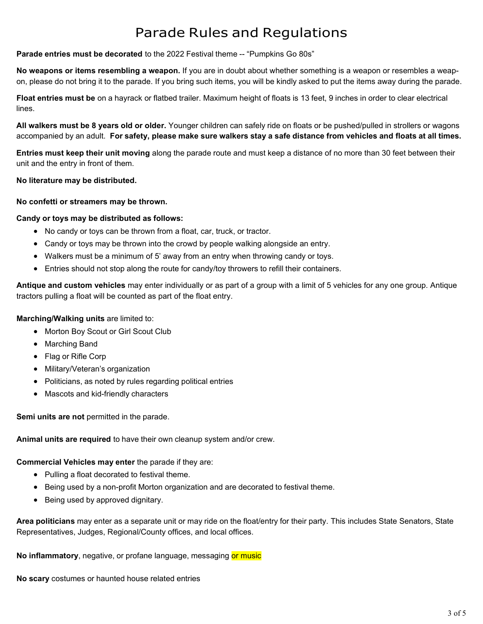# Parade Rules and Regulations

#### **Parade entries must be decorated** to the 2022 Festival theme -- "Pumpkins Go 80s"

**No weapons or items resembling a weapon.** If you are in doubt about whether something is a weapon or resembles a weapon, please do not bring it to the parade. If you bring such items, you will be kindly asked to put the items away during the parade.

**Float entries must be** on a hayrack or flatbed trailer. Maximum height of floats is 13 feet, 9 inches in order to clear electrical lines.

**All walkers must be 8 years old or older.** Younger children can safely ride on floats or be pushed/pulled in strollers or wagons accompanied by an adult. **For safety, please make sure walkers stay a safe distance from vehicles and floats at all times.**

**Entries must keep their unit moving** along the parade route and must keep a distance of no more than 30 feet between their unit and the entry in front of them.

#### **No literature may be distributed.**

#### **No confetti or streamers may be thrown.**

#### **Candy or toys may be distributed as follows:**

- No candy or toys can be thrown from a float, car, truck, or tractor.
- Candy or toys may be thrown into the crowd by people walking alongside an entry.
- Walkers must be a minimum of 5' away from an entry when throwing candy or toys.
- Entries should not stop along the route for candy/toy throwers to refill their containers.

**Antique and custom vehicles** may enter individually or as part of a group with a limit of 5 vehicles for any one group. Antique tractors pulling a float will be counted as part of the float entry.

#### **Marching/Walking units** are limited to:

- Morton Boy Scout or Girl Scout Club
- Marching Band
- Flag or Rifle Corp
- Military/Veteran's organization
- Politicians, as noted by rules regarding political entries
- Mascots and kid-friendly characters

**Semi units are not** permitted in the parade.

**Animal units are required** to have their own cleanup system and/or crew.

**Commercial Vehicles may enter** the parade if they are:

- Pulling a float decorated to festival theme.
- Being used by a non-profit Morton organization and are decorated to festival theme.
- Being used by approved dignitary.

**Area politicians** may enter as a separate unit or may ride on the float/entry for their party. This includes State Senators, State Representatives, Judges, Regional/County offices, and local offices.

**No inflammatory, negative, or profane language, messaging or music** 

**No scary** costumes or haunted house related entries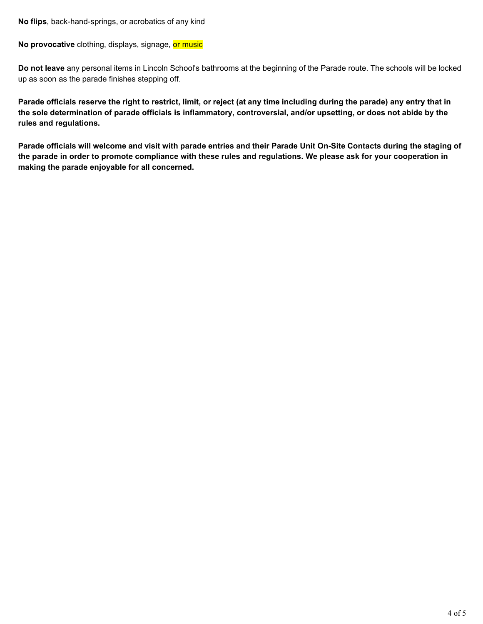**No flips**, back-hand-springs, or acrobatics of any kind

**No provocative** clothing, displays, signage, or music

**Do not leave** any personal items in Lincoln School's bathrooms at the beginning of the Parade route. The schools will be locked up as soon as the parade finishes stepping off.

Parade officials reserve the right to restrict, limit, or reject (at any time including during the parade) any entry that in **the sole determination of parade officials is inflammatory, controversial, and/or upsetting, or does not abide by the rules and regulations.**

Parade officials will welcome and visit with parade entries and their Parade Unit On-Site Contacts during the staging of **the parade in order to promote compliance with these rules and regulations. We please ask for your cooperation in making the parade enjoyable for all concerned.**